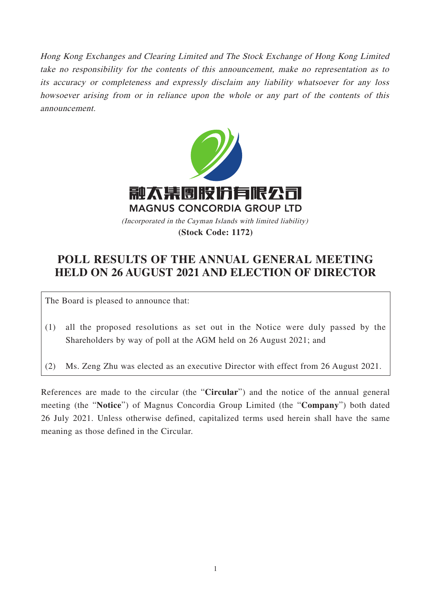Hong Kong Exchanges and Clearing Limited and The Stock Exchange of Hong Kong Limited take no responsibility for the contents of this announcement, make no representation as to its accuracy or completeness and expressly disclaim any liability whatsoever for any loss howsoever arising from or in reliance upon the whole or any part of the contents of this announcement.



## **POLL RESULTS OF THE ANNUAL GENERAL MEETING HELD ON 26 AUGUST 2021 AND ELECTION OF DIRECTOR**

The Board is pleased to announce that:

- (1) all the proposed resolutions as set out in the Notice were duly passed by the Shareholders by way of poll at the AGM held on 26 August 2021; and
- (2) Ms. Zeng Zhu was elected as an executive Director with effect from 26 August 2021.

References are made to the circular (the "**Circular**") and the notice of the annual general meeting (the "**Notice**") of Magnus Concordia Group Limited (the "**Company**") both dated 26 July 2021. Unless otherwise defined, capitalized terms used herein shall have the same meaning as those defined in the Circular.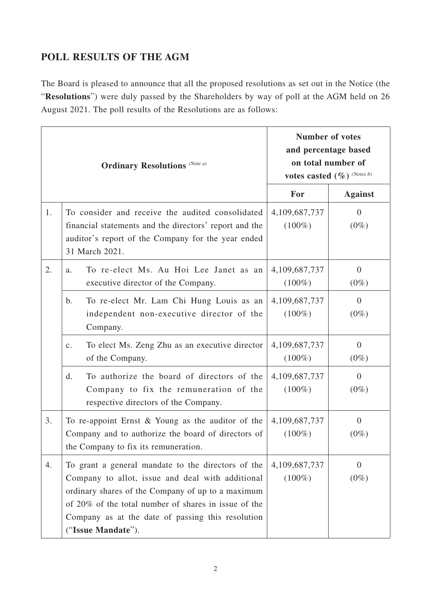## **POLL RESULTS OF THE AGM**

The Board is pleased to announce that all the proposed resolutions as set out in the Notice (the "**Resolutions**") were duly passed by the Shareholders by way of poll at the AGM held on 26 August 2021. The poll results of the Resolutions are as follows:

| <b>Ordinary Resolutions</b> (Note a) |                                                                                                                                                                                                                                                                                                | <b>Number of votes</b><br>and percentage based<br>on total number of<br>votes casted $(\%)$ (Notes b) |                           |
|--------------------------------------|------------------------------------------------------------------------------------------------------------------------------------------------------------------------------------------------------------------------------------------------------------------------------------------------|-------------------------------------------------------------------------------------------------------|---------------------------|
|                                      |                                                                                                                                                                                                                                                                                                | For                                                                                                   | <b>Against</b>            |
| 1.                                   | To consider and receive the audited consolidated<br>financial statements and the directors' report and the<br>auditor's report of the Company for the year ended<br>31 March 2021.                                                                                                             | 4,109,687,737<br>$(100\%)$                                                                            | $\overline{0}$<br>$(0\%)$ |
| 2.                                   | To re-elect Ms. Au Hoi Lee Janet as an<br>a.<br>executive director of the Company.                                                                                                                                                                                                             | 4,109,687,737<br>$(100\%)$                                                                            | $\overline{0}$<br>$(0\%)$ |
|                                      | To re-elect Mr. Lam Chi Hung Louis as an<br>$\mathbf{b}$ .<br>independent non-executive director of the<br>Company.                                                                                                                                                                            | 4,109,687,737<br>$(100\%)$                                                                            | $\overline{0}$<br>$(0\%)$ |
|                                      | To elect Ms. Zeng Zhu as an executive director<br>c.<br>of the Company.                                                                                                                                                                                                                        | 4,109,687,737<br>$(100\%)$                                                                            | $\overline{0}$<br>$(0\%)$ |
|                                      | To authorize the board of directors of the<br>d.<br>Company to fix the remuneration of the<br>respective directors of the Company.                                                                                                                                                             | 4,109,687,737<br>$(100\%)$                                                                            | $\overline{0}$<br>$(0\%)$ |
| 3.                                   | To re-appoint Ernst $&$ Young as the auditor of the<br>Company and to authorize the board of directors of<br>the Company to fix its remuneration.                                                                                                                                              | 4,109,687,737<br>$(100\%)$                                                                            | $\overline{0}$<br>$(0\%)$ |
| 4.                                   | To grant a general mandate to the directors of the<br>Company to allot, issue and deal with additional<br>ordinary shares of the Company of up to a maximum<br>of 20% of the total number of shares in issue of the<br>Company as at the date of passing this resolution<br>("Issue Mandate"). | 4,109,687,737<br>$(100\%)$                                                                            | $\overline{0}$<br>$(0\%)$ |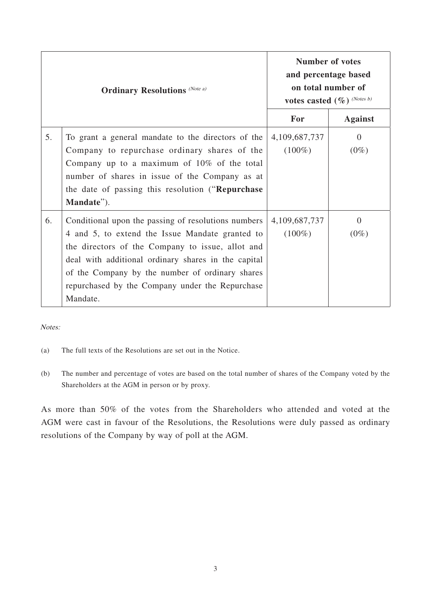| <b>Ordinary Resolutions</b> (Note a) |                                                                                                                                                                                                                                                                                                                                     | <b>Number of votes</b><br>and percentage based<br>on total number of<br>votes casted $(\%)$ (Notes b) |                     |
|--------------------------------------|-------------------------------------------------------------------------------------------------------------------------------------------------------------------------------------------------------------------------------------------------------------------------------------------------------------------------------------|-------------------------------------------------------------------------------------------------------|---------------------|
|                                      |                                                                                                                                                                                                                                                                                                                                     | For                                                                                                   | <b>Against</b>      |
| 5.                                   | To grant a general mandate to the directors of the<br>Company to repurchase ordinary shares of the<br>Company up to a maximum of 10% of the total<br>number of shares in issue of the Company as at<br>the date of passing this resolution ("Repurchase"<br>Mandate").                                                              | 4, 109, 687, 737<br>$(100\%)$                                                                         | $\Omega$<br>$(0\%)$ |
| 6.                                   | Conditional upon the passing of resolutions numbers<br>4 and 5, to extend the Issue Mandate granted to<br>the directors of the Company to issue, allot and<br>deal with additional ordinary shares in the capital<br>of the Company by the number of ordinary shares<br>repurchased by the Company under the Repurchase<br>Mandate. | 4, 109, 687, 737<br>$(100\%)$                                                                         | $\Omega$<br>$(0\%)$ |

Notes:

- (a) The full texts of the Resolutions are set out in the Notice.
- (b) The number and percentage of votes are based on the total number of shares of the Company voted by the Shareholders at the AGM in person or by proxy.

As more than 50% of the votes from the Shareholders who attended and voted at the AGM were cast in favour of the Resolutions, the Resolutions were duly passed as ordinary resolutions of the Company by way of poll at the AGM.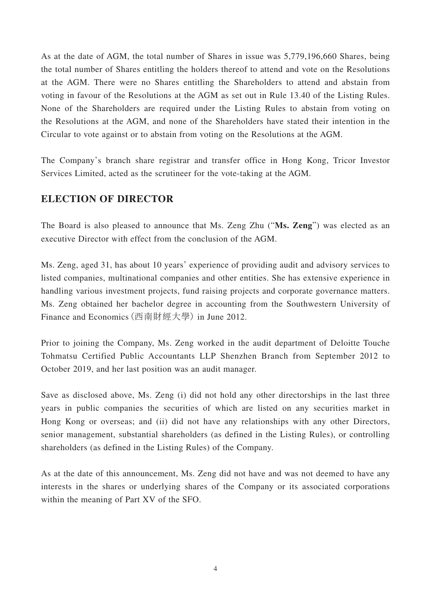As at the date of AGM, the total number of Shares in issue was 5,779,196,660 Shares, being the total number of Shares entitling the holders thereof to attend and vote on the Resolutions at the AGM. There were no Shares entitling the Shareholders to attend and abstain from voting in favour of the Resolutions at the AGM as set out in Rule 13.40 of the Listing Rules. None of the Shareholders are required under the Listing Rules to abstain from voting on the Resolutions at the AGM, and none of the Shareholders have stated their intention in the Circular to vote against or to abstain from voting on the Resolutions at the AGM.

The Company's branch share registrar and transfer office in Hong Kong, Tricor Investor Services Limited, acted as the scrutineer for the vote-taking at the AGM.

## **ELECTION OF DIRECTOR**

The Board is also pleased to announce that Ms. Zeng Zhu ("**Ms. Zeng**") was elected as an executive Director with effect from the conclusion of the AGM.

Ms. Zeng, aged 31, has about 10 years' experience of providing audit and advisory services to listed companies, multinational companies and other entities. She has extensive experience in handling various investment projects, fund raising projects and corporate governance matters. Ms. Zeng obtained her bachelor degree in accounting from the Southwestern University of Finance and Economics(西南財經大學) in June 2012.

Prior to joining the Company, Ms. Zeng worked in the audit department of Deloitte Touche Tohmatsu Certified Public Accountants LLP Shenzhen Branch from September 2012 to October 2019, and her last position was an audit manager.

Save as disclosed above, Ms. Zeng (i) did not hold any other directorships in the last three years in public companies the securities of which are listed on any securities market in Hong Kong or overseas; and (ii) did not have any relationships with any other Directors, senior management, substantial shareholders (as defined in the Listing Rules), or controlling shareholders (as defined in the Listing Rules) of the Company.

As at the date of this announcement, Ms. Zeng did not have and was not deemed to have any interests in the shares or underlying shares of the Company or its associated corporations within the meaning of Part XV of the SFO.